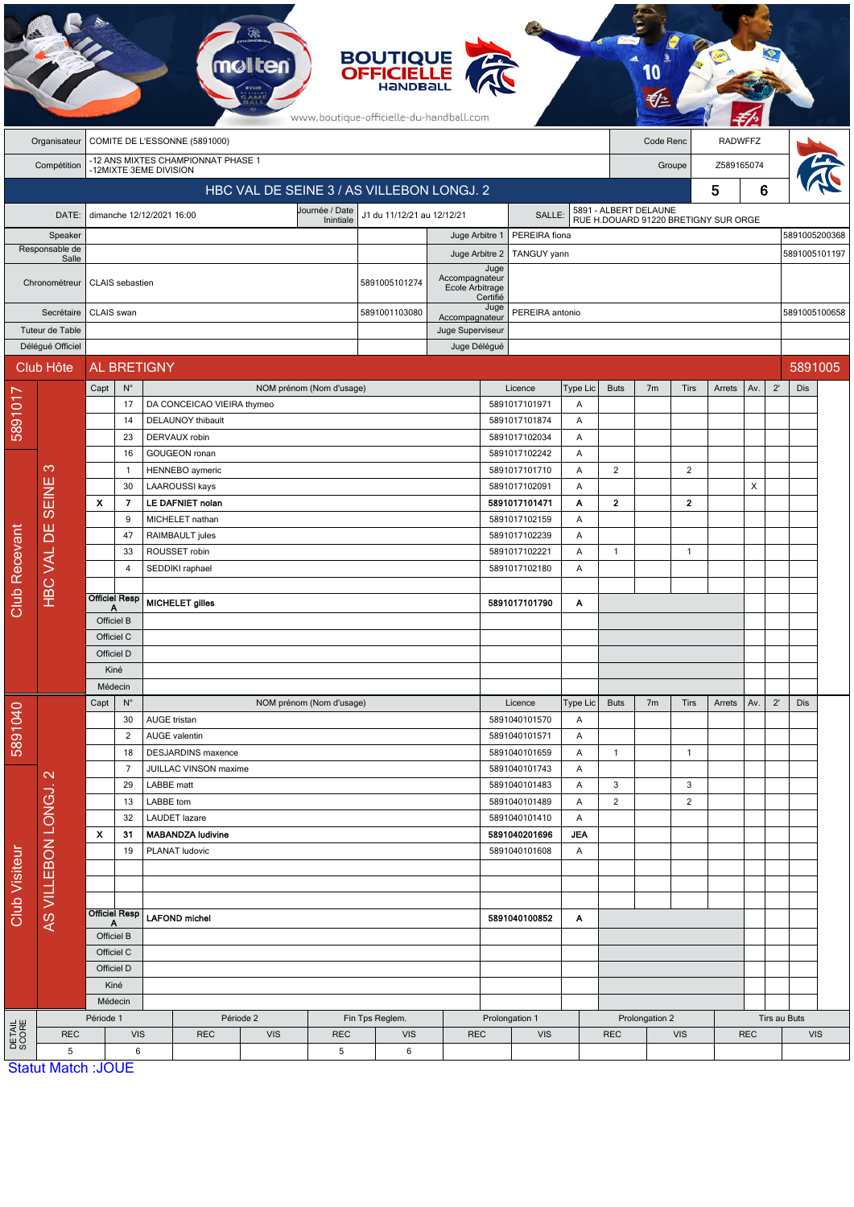|                 |                               |                                                              |                      |                                                    |                                            | <b>melten</b> |                                | <b>BOUTIQUE<br/>OFFICIELLE</b><br>www.boutique-officielle-du-handball.com |                |                                                       |                                |                   |                                                               |                          |                |               |               |               |         |  |
|-----------------|-------------------------------|--------------------------------------------------------------|----------------------|----------------------------------------------------|--------------------------------------------|---------------|--------------------------------|---------------------------------------------------------------------------|----------------|-------------------------------------------------------|--------------------------------|-------------------|---------------------------------------------------------------|--------------------------|----------------|---------------|---------------|---------------|---------|--|
|                 | Organisateur                  | COMITE DE L'ESSONNE (5891000)                                |                      |                                                    |                                            |               |                                |                                                                           |                | Code Renc                                             |                                |                   |                                                               | <b>RADWFFZ</b>           |                |               |               |               |         |  |
|                 | Compétition                   | -12 ANS MIXTES CHAMPIONNAT PHASE 1<br>-12MIXTE 3EME DIVISION |                      |                                                    |                                            |               |                                |                                                                           |                | Groupe                                                |                                |                   |                                                               | Z589165074               |                |               |               |               |         |  |
|                 |                               | HBC VAL DE SEINE 3 / AS VILLEBON LONGJ. 2                    |                      |                                                    |                                            |               |                                |                                                                           |                |                                                       |                                |                   | 5                                                             |                          |                |               | 6             |               |         |  |
|                 | DATE:                         | Journée / Date<br>dimanche 12/12/2021 16:00<br>Inintiale     |                      |                                                    |                                            |               |                                | J1 du 11/12/21 au 12/12/21<br>SALLE:                                      |                |                                                       |                                |                   | 5891 - ALBERT DELAUNE<br>RUE H.DOUARD 91220 BRETIGNY SUR ORGE |                          |                |               |               |               |         |  |
|                 | Speaker                       |                                                              |                      |                                                    |                                            |               |                                |                                                                           |                | Juge Arbitre 1                                        | PEREIRA fiona                  |                   |                                                               |                          |                | 5891005200368 |               |               |         |  |
|                 | Responsable de<br>Salle       |                                                              |                      |                                                    |                                            |               |                                |                                                                           |                | Juge Arbitre 2                                        | TANGUY yann                    |                   |                                                               |                          |                |               | 5891005101197 |               |         |  |
|                 | Chronométreur                 |                                                              | CLAIS sebastien      |                                                    |                                            |               |                                | 5891005101274                                                             |                | Juge<br>Accompagnateur<br>Ecole Arbitrage<br>Certifié |                                |                   |                                                               |                          |                |               |               |               |         |  |
|                 | Secrétaire                    | CLAIS swan                                                   |                      |                                                    |                                            |               |                                | 5891001103080                                                             |                | Juge<br>PEREIRA antonio<br>Accompagnateur             |                                |                   |                                                               |                          |                |               |               | 5891005100658 |         |  |
|                 | Tuteur de Table               |                                                              |                      |                                                    |                                            |               |                                |                                                                           |                | Juge Superviseur                                      |                                |                   |                                                               |                          |                |               |               |               |         |  |
|                 | Délégué Officiel<br>Club Hôte |                                                              |                      | AL BRETIGNY                                        |                                            |               |                                |                                                                           |                | Juge Délégué                                          |                                |                   |                                                               |                          |                |               |               |               | 5891005 |  |
|                 |                               | Capt                                                         | $N^{\circ}$          |                                                    |                                            |               | NOM prénom (Nom d'usage)       |                                                                           |                |                                                       | Licence                        | <b>Type Lic</b>   | <b>Buts</b>                                                   | 7 <sub>m</sub>           | Tirs           | Arrets        | Av.           | $2^{\prime}$  | Dis     |  |
| 5891017         |                               |                                                              | 17                   |                                                    | DA CONCEICAO VIEIRA thymeo                 |               |                                |                                                                           |                |                                                       | 5891017101971                  | A                 |                                                               |                          |                |               |               |               |         |  |
|                 |                               |                                                              | 14                   |                                                    | DELAUNOY thibault                          |               |                                |                                                                           |                |                                                       | 5891017101874                  | Α                 |                                                               |                          |                |               |               |               |         |  |
|                 |                               |                                                              | 23<br>16             |                                                    | DERVAUX robin<br><b>GOUGEON</b> ronan      |               |                                |                                                                           |                |                                                       | 5891017102034<br>5891017102242 | Α<br>A            |                                                               |                          |                |               |               |               |         |  |
|                 | က                             |                                                              | $\mathbf{1}$         |                                                    | HENNEBO aymeric                            |               |                                |                                                                           |                |                                                       | 5891017101710                  | A                 | $\overline{c}$                                                |                          | $\overline{2}$ |               |               |               |         |  |
|                 |                               |                                                              | 30                   |                                                    | <b>LAAROUSSI kays</b>                      |               |                                |                                                                           |                |                                                       | 5891017102091                  | Α                 |                                                               |                          |                |               | X             |               |         |  |
|                 | SEINE<br><b>HBC VAL DE</b>    | $\mathbf{x}$                                                 | $\overline{ }$       |                                                    | LE DAFNIET nolan                           |               |                                |                                                                           |                |                                                       | 5891017101471                  | А                 | $\mathbf{2}$                                                  |                          | $\overline{2}$ |               |               |               |         |  |
|                 |                               |                                                              | 9<br>47              |                                                    | MICHELET nathan                            |               |                                |                                                                           |                |                                                       | 5891017102159                  | Α                 |                                                               |                          |                |               |               |               |         |  |
|                 |                               |                                                              | 33                   |                                                    | RAIMBAULT jules<br>ROUSSET robin           |               |                                |                                                                           |                |                                                       | 5891017102239<br>5891017102221 | Α<br>Α            | 1                                                             |                          | $\mathbf{1}$   |               |               |               |         |  |
| Club Recevant   |                               |                                                              | 4                    |                                                    | SEDDIKI raphael                            |               |                                |                                                                           |                |                                                       | 5891017102180                  | Α                 |                                                               |                          |                |               |               |               |         |  |
|                 |                               |                                                              | <b>Officiel Resp</b> |                                                    |                                            |               |                                |                                                                           |                |                                                       |                                |                   |                                                               |                          |                |               |               |               |         |  |
|                 |                               | Officiel B                                                   |                      | MICHELET gilles                                    |                                            |               |                                |                                                                           |                | 5891017101790                                         | Α                              |                   |                                                               |                          |                |               |               |               |         |  |
|                 |                               | Officiel C                                                   |                      |                                                    |                                            |               |                                |                                                                           |                |                                                       |                                |                   |                                                               |                          |                |               |               |               |         |  |
|                 |                               | Officiel D                                                   |                      |                                                    |                                            |               |                                |                                                                           |                |                                                       |                                |                   |                                                               |                          |                |               |               |               |         |  |
|                 |                               | Kiné                                                         |                      |                                                    |                                            |               |                                |                                                                           |                |                                                       |                                |                   |                                                               |                          |                |               |               |               |         |  |
|                 |                               | Médecin<br>$N^{\circ}$<br>Capt                               |                      | NOM prénom (Nom d'usage)                           |                                            |               |                                |                                                                           |                |                                                       | Licence                        | Type Lic          | <b>Buts</b>                                                   | 7 <sub>m</sub>           | Tirs           | Arrets        | Av.           | $2^{\prime}$  | Dis     |  |
| 5891040         |                               |                                                              | 30                   | AUGE tristan                                       |                                            |               |                                |                                                                           |                |                                                       | 5891040101570                  | A                 |                                                               |                          |                |               |               |               |         |  |
|                 |                               | $\overline{2}$                                               |                      | <b>AUGE</b> valentin                               |                                            |               |                                |                                                                           |                |                                                       | 5891040101571                  | Α                 |                                                               |                          |                |               |               |               |         |  |
|                 |                               | 18<br>$\overline{7}$                                         |                      | <b>DESJARDINS</b> maxence<br>JUILLAC VINSON maxime |                                            |               |                                |                                                                           |                | 5891040101659<br>5891040101743                        | A                              | $\mathbf{1}$      |                                                               | $\overline{1}$           |                |               |               |               |         |  |
| Club Visiteur   | AS VILLEBON LONGJ. 2          |                                                              | 29                   | LABBE matt                                         |                                            |               |                                |                                                                           |                |                                                       | 5891040101483                  | $\mathsf{A}$<br>A | 3                                                             |                          | 3              |               |               |               |         |  |
|                 |                               |                                                              | 13                   | LABBE tom                                          |                                            |               |                                |                                                                           |                |                                                       | 5891040101489                  | A                 | $\overline{c}$                                                |                          | $\overline{c}$ |               |               |               |         |  |
|                 |                               |                                                              | 32                   |                                                    | LAUDET lazare                              |               |                                |                                                                           |                | 5891040101410                                         | A                              |                   |                                                               |                          |                |               |               |               |         |  |
|                 |                               | $\mathbf{x}$                                                 | 31<br>19             |                                                    | <b>MABANDZA ludivine</b><br>PLANAT ludovic |               | 5891040201696<br>5891040101608 |                                                                           |                | JEA<br>A                                              |                                |                   |                                                               |                          |                |               |               |               |         |  |
|                 |                               |                                                              |                      |                                                    |                                            |               |                                |                                                                           |                |                                                       |                                |                   |                                                               |                          |                |               |               |               |         |  |
|                 |                               |                                                              |                      |                                                    |                                            |               |                                |                                                                           |                |                                                       |                                |                   |                                                               |                          |                |               |               |               |         |  |
|                 |                               |                                                              | <b>Officiel Resp</b> |                                                    |                                            |               |                                |                                                                           |                |                                                       |                                |                   |                                                               |                          |                |               |               |               |         |  |
|                 |                               | Α<br>Officiel B<br>Officiel C                                |                      | <b>LAFOND</b> michel                               |                                            |               |                                |                                                                           |                | 5891040100852<br>A                                    |                                |                   |                                                               |                          |                |               |               |               |         |  |
|                 |                               |                                                              |                      |                                                    |                                            |               |                                |                                                                           |                |                                                       |                                |                   |                                                               |                          |                |               |               |               |         |  |
|                 |                               |                                                              | Officiel D           |                                                    |                                            |               |                                |                                                                           |                |                                                       |                                |                   |                                                               |                          |                |               |               |               |         |  |
|                 |                               |                                                              | Kiné                 |                                                    |                                            |               |                                |                                                                           |                |                                                       |                                |                   |                                                               |                          |                |               |               |               |         |  |
| DETAIL<br>SCORE |                               | Médecin<br>Période 1                                         |                      |                                                    | Période 2<br>Fin Tps Reglem.               |               |                                |                                                                           | Prolongation 1 |                                                       |                                | Prolongation 2    |                                                               |                          |                | Tirs au Buts  |               |               |         |  |
|                 | <b>REC</b>                    | <b>VIS</b>                                                   |                      |                                                    | <b>REC</b>                                 | <b>VIS</b>    | <b>REC</b>                     | <b>VIS</b>                                                                |                | <b>REC</b>                                            | <b>VIS</b>                     |                   |                                                               | <b>REC</b><br><b>VIS</b> |                |               | <b>REC</b>    | <b>VIS</b>    |         |  |
|                 | 5                             | 6<br><b>Statut Match : IOLIE</b>                             |                      | 5<br>6                                             |                                            |               |                                |                                                                           |                |                                                       |                                |                   |                                                               |                          |                |               |               |               |         |  |

 $\overline{a}$ 

**RAD** 

**Statut Match: JOUE** 

 $\mathbb{R}$   $\rightarrow$ 

adb.